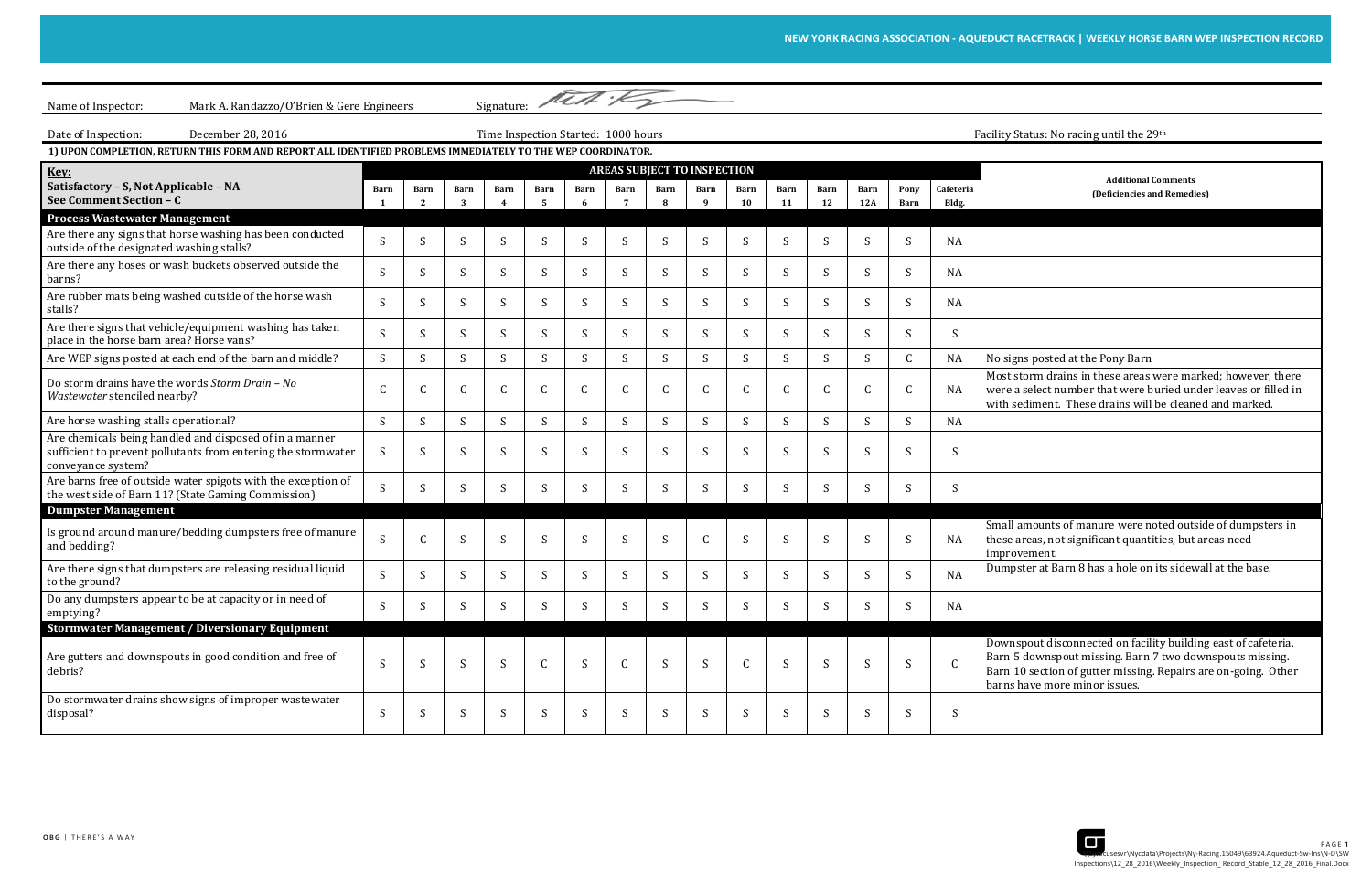

st storm drains in these areas were marked; however, there were a select number that were buried under leaves or filled in sediment. These drains will be cleaned and marked.

all amounts of manure were noted outside of dumpsters in se areas, not significant quantities, but areas need rovement.

wnspout disconnected on facility building east of cafeteria. 15 downspout missing. Barn 7 two downspouts missing. Barn 10 section of gutter missing. Repairs are on-going. Other is have more minor issues.

| Mark A. Randazzo/O'Brien & Gere Engineers<br>Name of Inspector:                                                                                |                                                                                  |              |            |      |                    |              | Signature: Met :                   |              |              |              |              |              |             |              |                    |                                                                                                                                                                                                                   |
|------------------------------------------------------------------------------------------------------------------------------------------------|----------------------------------------------------------------------------------|--------------|------------|------|--------------------|--------------|------------------------------------|--------------|--------------|--------------|--------------|--------------|-------------|--------------|--------------------|-------------------------------------------------------------------------------------------------------------------------------------------------------------------------------------------------------------------|
| December 28, 2016<br>Date of Inspection:                                                                                                       | Time Inspection Started: 1000 hours<br>Facility Status: No racing until the 29th |              |            |      |                    |              |                                    |              |              |              |              |              |             |              |                    |                                                                                                                                                                                                                   |
| 1) UPON COMPLETION, RETURN THIS FORM AND REPORT ALL IDENTIFIED PROBLEMS IMMEDIATELY TO THE WEP COORDINATOR.                                    |                                                                                  |              |            |      |                    |              |                                    |              |              |              |              |              |             |              |                    |                                                                                                                                                                                                                   |
| Key:                                                                                                                                           |                                                                                  |              |            |      |                    |              | <b>AREAS SUBJECT TO INSPECTION</b> |              |              |              |              |              |             |              |                    | <b>Additional Comments</b>                                                                                                                                                                                        |
| Satisfactory - S, Not Applicable - NA<br>See Comment Section - C                                                                               | Barn                                                                             | Barn         | Barn<br>-3 | Barn | <b>Barn</b><br>- 5 | Barn         | Barn<br>- 7                        | Barn<br>R    | Barn<br>-9   | Barn<br>10   | Barn<br>11   | Barn<br>12   | Barn<br>12A | Pony<br>Barn | Cafeteria<br>Bldg. | (Deficiencies and Remedies)                                                                                                                                                                                       |
| <b>Process Wastewater Management</b>                                                                                                           |                                                                                  |              |            |      |                    |              |                                    |              |              |              |              |              |             |              |                    |                                                                                                                                                                                                                   |
| Are there any signs that horse washing has been conducted<br>outside of the designated washing stalls?                                         | S                                                                                | S            | S          | S    | S                  | <sup>S</sup> | S                                  | S            | S            | <sup>S</sup> | S            | -S           | S           | -S           | <b>NA</b>          |                                                                                                                                                                                                                   |
| Are there any hoses or wash buckets observed outside the<br>barns?                                                                             | <sub>S</sub>                                                                     | S            | S          | S.   | S                  | S.           | S                                  | <sub>S</sub> | S            | S            | S            | -S           | S           | -S           | NA                 |                                                                                                                                                                                                                   |
| Are rubber mats being washed outside of the horse wash<br>stalls?                                                                              | S                                                                                | S            | S          | S.   | S                  | S.           | -S                                 | <sub>S</sub> | S            | <sup>S</sup> | S            | -S           | S           | -S           | NA                 |                                                                                                                                                                                                                   |
| Are there signs that vehicle/equipment washing has taken<br>place in the horse barn area? Horse vans?                                          | S                                                                                | S            | S.         | S.   | S                  | S.           | S                                  | S            | S            | S.           | S            | -S           | S           | -S           | <sup>S</sup>       |                                                                                                                                                                                                                   |
| Are WEP signs posted at each end of the barn and middle?                                                                                       | S                                                                                | S            | S          | S.   | S                  | S.           | S                                  | S            | S            | S            | S            | <sub>S</sub> | S           |              | <b>NA</b>          | No signs posted at the Pony Barn                                                                                                                                                                                  |
| Do storm drains have the words Storm Drain - No<br>Wastewater stenciled nearby?                                                                | C                                                                                |              | C          | C    |                    |              | C                                  | C            | C.           |              | $\mathsf{C}$ | C.           | C.          | C.           | NA                 | Most storm drains in these areas were marked; however,<br>were a select number that were buried under leaves or fil<br>with sediment. These drains will be cleaned and marked.                                    |
| Are horse washing stalls operational?                                                                                                          | S                                                                                | S            | S          | S    | S                  | S            | S                                  | S            | S            | S            | S            | S            | S           | S            | <b>NA</b>          |                                                                                                                                                                                                                   |
| Are chemicals being handled and disposed of in a manner<br>sufficient to prevent pollutants from entering the stormwater<br>conveyance system? | S                                                                                | S            | S          | S    | S                  | <sup>S</sup> | S                                  | S            | S            | S            | S            | <sub>S</sub> | S           | <sub>S</sub> | <sup>S</sup>       |                                                                                                                                                                                                                   |
| Are barns free of outside water spigots with the exception of<br>the west side of Barn 11? (State Gaming Commission)                           | <sub>S</sub>                                                                     | S            | S          | S.   | S                  | S.           | S                                  | <sub>S</sub> | S            | S            | S            | -S           | S           | -S           | S                  |                                                                                                                                                                                                                   |
| <b>Dumpster Management</b>                                                                                                                     |                                                                                  |              |            |      |                    |              |                                    |              |              |              |              |              |             |              |                    |                                                                                                                                                                                                                   |
| Is ground around manure/bedding dumpsters free of manure<br>and bedding?                                                                       | S                                                                                |              | S          | S    | S                  | S            | S                                  | <sub>S</sub> | $\mathsf{C}$ | S            | S            | <sub>S</sub> | S           | <sub>S</sub> | <b>NA</b>          | Small amounts of manure were noted outside of dumpste<br>these areas, not significant quantities, but areas need<br>improvement.                                                                                  |
| Are there signs that dumpsters are releasing residual liquid<br>to the ground?                                                                 | S                                                                                | <sup>S</sup> | S          | S.   | -S                 | S.           | -S                                 | <sub>S</sub> | S            | S            | -S           | -S           | -S          | -S           | <b>NA</b>          | Dumpster at Barn 8 has a hole on its sidewall at the base.                                                                                                                                                        |
| Do any dumpsters appear to be at capacity or in need of<br>emptying?                                                                           | S                                                                                | S            | S          | S    | S                  | S.           | S                                  | S            | S.           | S            | S            | <sub>S</sub> | S           | -S           | NA                 |                                                                                                                                                                                                                   |
| <b>Stormwater Management / Diversionary Equipment</b>                                                                                          |                                                                                  |              |            |      |                    |              |                                    |              |              |              |              |              |             |              |                    |                                                                                                                                                                                                                   |
| Are gutters and downspouts in good condition and free of<br>debris?                                                                            | S                                                                                | S            | S          | S    | $\mathsf{C}$       | S            | $\mathsf{C}$                       | S            | S            | $\mathsf{C}$ | S            | S            | S           | S            | $\mathsf{C}$       | Downspout disconnected on facility building east of cafet<br>Barn 5 downspout missing. Barn 7 two downspouts missi<br>Barn 10 section of gutter missing. Repairs are on-going. (<br>barns have more minor issues. |
| Do stormwater drains show signs of improper wastewater<br>disposal?                                                                            | S                                                                                | S            | S          | S    | S                  | S.           | S                                  | -S           | S            | S            | S            | <sub>S</sub> | S           | S            | S                  |                                                                                                                                                                                                                   |